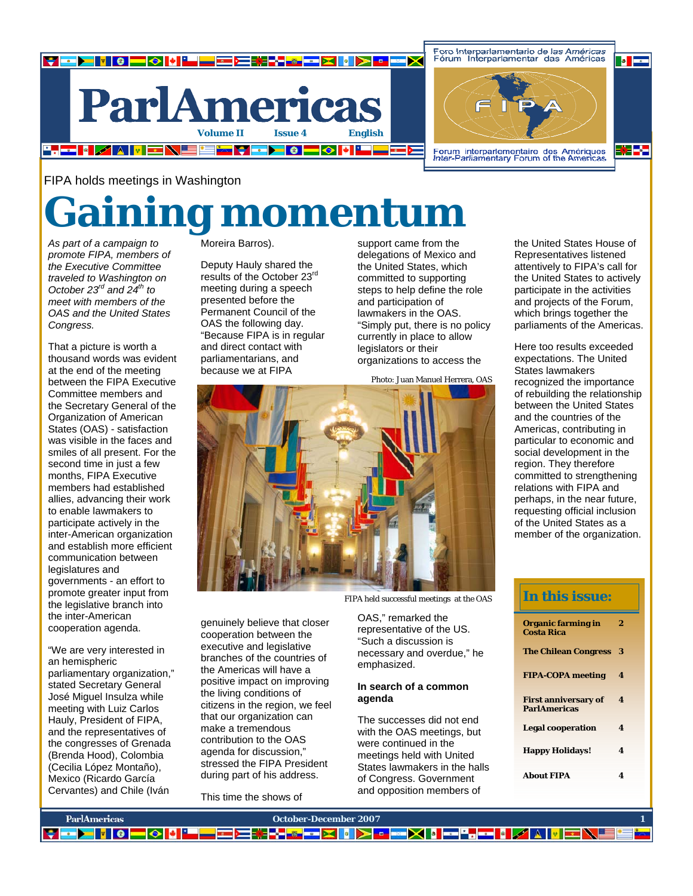

FIPA holds meetings in Washington

# **Gaining momentum**

*As part of a campaign to promote FIPA, members of the Executive Committee traveled to Washington on October 23rd and 24th to meet with members of the OAS and the United States Congress.*

That a picture is worth a thousand words was evident at the end of the meeting between the FIPA Executive Committee members and the Secretary General of the Organization of American States (OAS) - satisfaction was visible in the faces and smiles of all present. For the second time in just a few months, FIPA Executive members had established allies, advancing their work to enable lawmakers to participate actively in the inter-American organization and establish more efficient communication between legislatures and governments - an effort to promote greater input from the legislative branch into the inter-American cooperation agenda.

"We are very interested in an hemispheric parliamentary organization," stated Secretary General José Miguel Insulza while meeting with Luiz Carlos Hauly, President of FIPA, and the representatives of the congresses of Grenada (Brenda Hood), Colombia (Cecilia López Montaño), Mexico (Ricardo García Cervantes) and Chile (Iván

**ParlAmericas** 

**EXAMPLE 8 - 0 | 0 | "** 

Moreira Barros).

Deputy Hauly shared the results of the October 23<sup>rd</sup> meeting during a speech presented before the Permanent Council of the OAS the following day. "Because FIPA is in regular and direct contact with parliamentarians, and because we at FIPA

support came from the delegations of Mexico and the United States, which committed to supporting steps to help define the role and participation of lawmakers in the OAS. "Simply put, there is no policy currently in place to allow legislators or their organizations to access the

Photo: Juan Manuel Herrera, OAS



FIPA held successful meetings at the OAS

OAS," remarked the representative of the US. "Such a discussion is necessary and overdue," he emphasized.

### **In search of a common agenda**

The successes did not end with the OAS meetings, but were continued in the meetings held with United States lawmakers in the halls of Congress. Government and opposition members of

▞▞<mark>▓▆▀▏▓▕▕▌▏>▏▘▐▀▘</mark>▓▎▋<mark>▝▀▀<mark>▚</mark>▆▆▎▌▗*▌*▏</mark>▟▕▓▏

**October-December 2007** 1 **1** 

the United States House of Representatives listened attentively to FIPA's call for the United States to actively participate in the activities and projects of the Forum, which brings together the parliaments of the Americas.

Here too results exceeded expectations. The United States lawmakers recognized the importance of rebuilding the relationship between the United States and the countries of the Americas, contributing in particular to economic and social development in the region. They therefore committed to strengthening relations with FIPA and perhaps, in the near future, requesting official inclusion of the United States as a member of the organization.

## **In this issue:**

| Organic farming in<br><b>Costa Rica</b>            | 2 |
|----------------------------------------------------|---|
| <b>The Chilean Congress</b>                        | 3 |
| <b>FIPA-COPA</b> meeting                           | 4 |
| <b>First anniversary of</b><br><b>ParlAmericas</b> | 4 |
| <b>Legal cooperation</b>                           | 4 |
| <b>Happy Holidays!</b>                             | 4 |
| <b>About FIPA</b>                                  | 4 |

This time the shows of

genuinely believe that closer cooperation between the executive and legislative branches of the countries of the Americas will have a positive impact on improving the living conditions of citizens in the region, we feel that our organization can make a tremendous contribution to the OAS agenda for discussion," stressed the FIPA President during part of his address.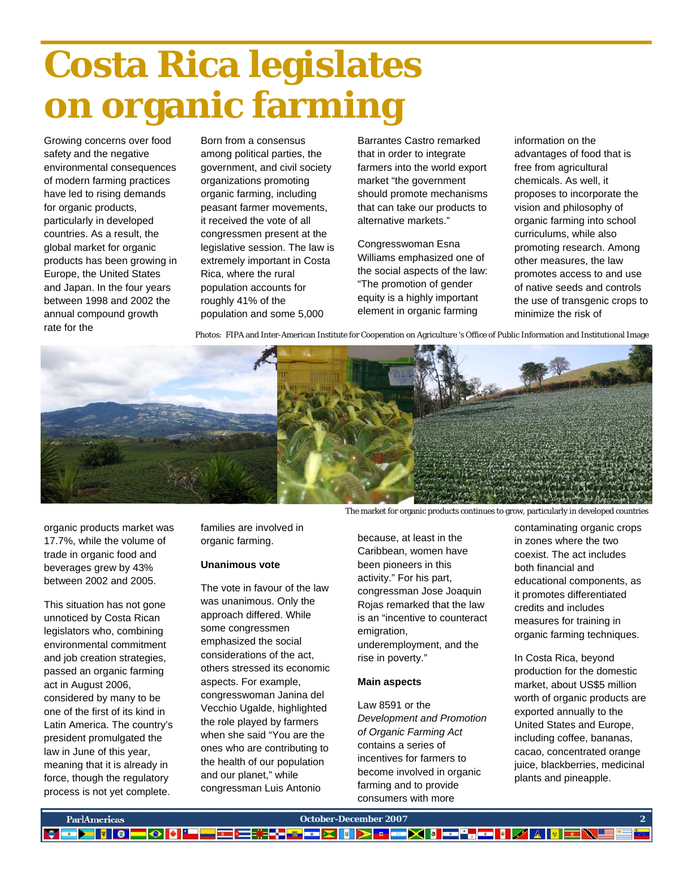# **Costa Rica legislates on organic farming**

Growing concerns over food safety and the negative environmental consequences of modern farming practices have led to rising demands for organic products, particularly in developed countries. As a result, the global market for organic products has been growing in Europe, the United States and Japan. In the four years between 1998 and 2002 the annual compound growth rate for the

Born from a consensus among political parties, the government, and civil society organizations promoting organic farming, including peasant farmer movements, it received the vote of all congressmen present at the legislative session. The law is extremely important in Costa Rica, where the rural population accounts for roughly 41% of the population and some 5,000

Barrantes Castro remarked that in order to integrate farmers into the world export market "the government should promote mechanisms that can take our products to alternative markets."

Congresswoman Esna Williams emphasized one of the social aspects of the law: "The promotion of gender equity is a highly important element in organic farming

information on the advantages of food that is free from agricultural chemicals. As well, it proposes to incorporate the vision and philosophy of organic farming into school curriculums, while also promoting research. Among other measures, the law promotes access to and use of native seeds and controls the use of transgenic crops to minimize the risk of

Photos: FIPA and Inter-American Institute for Cooperation on Agriculture 's Office of Public Information and Institutional Image



organic products market was 17.7%, while the volume of trade in organic food and beverages grew by 43% between 2002 and 2005.

This situation has not gone unnoticed by Costa Rican legislators who, combining environmental commitment and job creation strategies, passed an organic farming act in August 2006, considered by many to be one of the first of its kind in Latin America. The country's president promulgated the law in June of this year, meaning that it is already in force, though the regulatory process is not yet complete.

families are involved in organic farming.

### **Unanimous vote**

The vote in favour of the law was unanimous. Only the approach differed. While some congressmen emphasized the social considerations of the act, others stressed its economic aspects. For example, congresswoman Janina del Vecchio Ugalde, highlighted the role played by farmers when she said "You are the ones who are contributing to the health of our population and our planet," while congressman Luis Antonio

The market for organic products continues to grow, particularly in developed countries

because, at least in the Caribbean, women have been pioneers in this activity." For his part, congressman Jose Joaquin Rojas remarked that the law is an "incentive to counteract emigration, underemployment, and the rise in poverty."

### **Main aspects**

Law 8591 or the *Development and Promotion of Organic Farming Act*  contains a series of incentives for farmers to become involved in organic farming and to provide consumers with more

contaminating organic crops in zones where the two coexist. The act includes both financial and educational components, as it promotes differentiated credits and includes measures for training in organic farming techniques.

In Costa Rica, beyond production for the domestic market, about US\$5 million worth of organic products are exported annually to the United States and Europe, including coffee, bananas, cacao, concentrated orange juice, blackberries, medicinal plants and pineapple.

| ParlAmericas | October-December 2007                                           |  |
|--------------|-----------------------------------------------------------------|--|
|              | <mark>▎▘▆▛▌▎▎▕▕▗▎▎▎▘▀▀▆▎▘▏▞▖▞▚</mark> ▗▗▗▖▛▚▎▘▏▀▚▚▎▚▎▘▎▘▎▘▎▘▏▏▏ |  |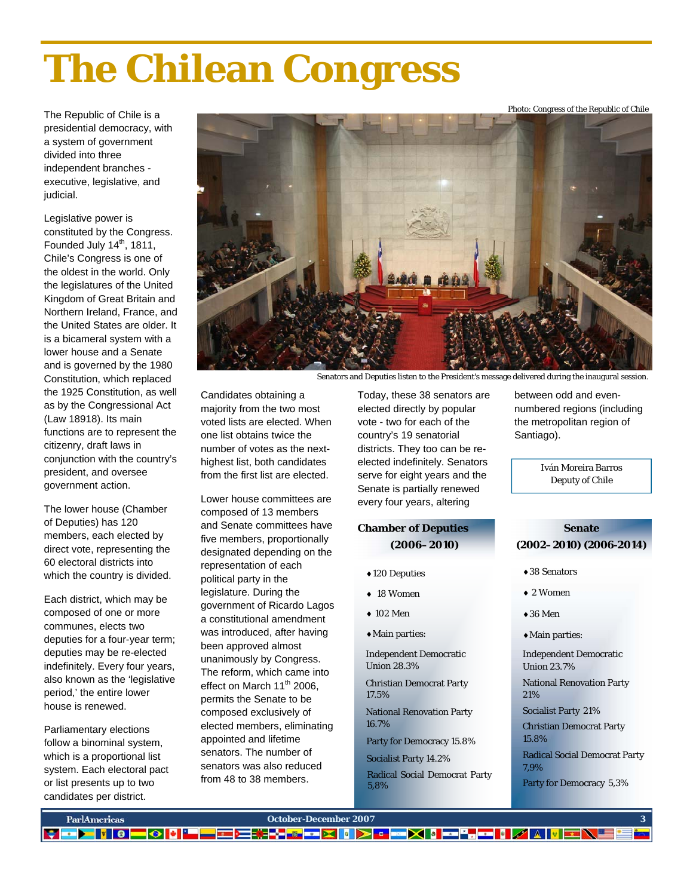# **The Chilean Congress**

The Republic of Chile is a presidential democracy, with a system of government divided into three independent branches executive, legislative, and judicial.

Legislative power is constituted by the Congress. Founded July  $14<sup>th</sup>$ , 1811, Chile's Congress is one of the oldest in the world. Only the legislatures of the United Kingdom of Great Britain and Northern Ireland, France, and the United States are older. It is a bicameral system with a lower house and a Senate and is governed by the 1980 Constitution, which replaced the 1925 Constitution, as well as by the Congressional Act (Law 18918). Its main functions are to represent the citizenry, draft laws in conjunction with the country's president, and oversee government action.

The lower house (Chamber of Deputies) has 120 members, each elected by direct vote, representing the 60 electoral districts into which the country is divided.

Each district, which may be composed of one or more communes, elects two deputies for a four-year term; deputies may be re-elected indefinitely. Every four years, also known as the 'legislative period,' the entire lower house is renewed.

Parliamentary elections follow a binominal system, which is a proportional list system. Each electoral pact or list presents up to two candidates per district.



Senators and Deputies listen to the President's message delivered during the inaugural session.

Candidates obtaining a majority from the two most voted lists are elected. When one list obtains twice the number of votes as the nexthighest list, both candidates from the first list are elected.

Lower house committees are composed of 13 members and Senate committees have five members, proportionally designated depending on the representation of each political party in the legislature. During the government of Ricardo Lagos a constitutional amendment was introduced, after having been approved almost unanimously by Congress. The reform, which came into effect on March 11<sup>th</sup> 2006, permits the Senate to be composed exclusively of elected members, eliminating appointed and lifetime senators. The number of senators was also reduced from 48 to 38 members.

Today, these 38 senators are elected directly by popular vote - two for each of the country's 19 senatorial districts. They too can be reelected indefinitely. Senators serve for eight years and the Senate is partially renewed every four years, altering

### **Chamber of Deputies (2006–2010)**

- ♦120 Deputies
- ♦ 18 Women
- $\triangle$  102 Men
- ♦Main parties:

Independent Democratic Union 28.3%

Christian Democrat Party 17.5%

National Renovation Party 16.7%

Party for Democracy 15.8%

Socialist Party 14.2%

 Radical Social Democrat Party 5,8%

between odd and evennumbered regions (including the metropolitan region of Santiago).

Photo: Congress of the Republic of Chile

Iván Moreira Barros Deputy of Chile

### **Senate (2002–2010) (2006-2014)**

- ♦38 Senators
- ♦ 2 Women
- $\triangle$ 36 Men
- ♦Main parties:

Independent Democratic Union 23.7%

National Renovation Party 21%

Socialist Party 21%

Christian Democrat Party 15.8%

Radical Social Democrat Party 7,9%

Party for Democracy 5,3%

| ParlAmericas | <b>October-December 2007</b>                                                       |  |
|--------------|------------------------------------------------------------------------------------|--|
|              | <b>THE ALL AND REAL PROPERTY</b><br>▅▏░▏▓▐▘▀▎▀▋▀▋▀▋▓▐▞▞▛▗▅▏▓▏▓▏░▏▖▏▅▆▕░▎▓▏▅▅▀▄▎▆▆▎ |  |